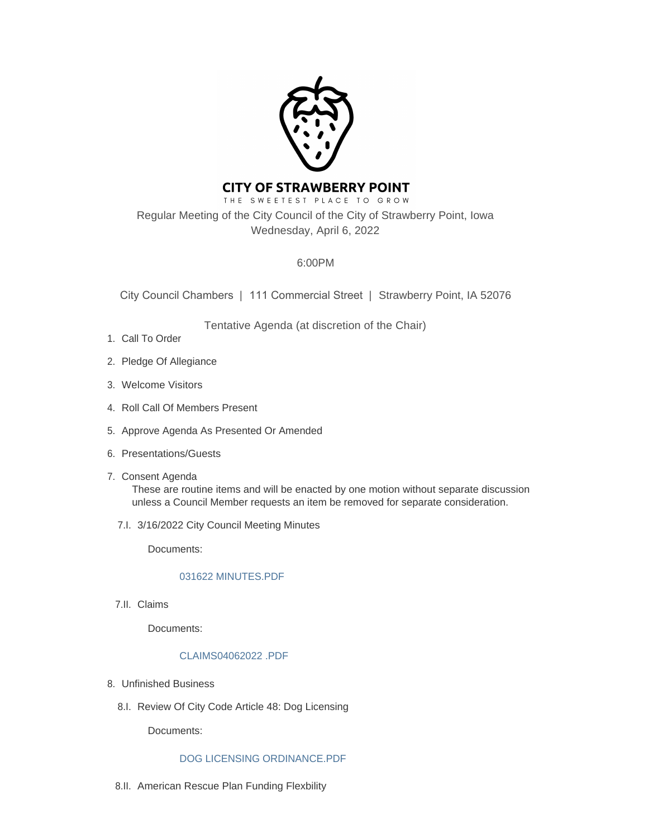

# **CITY OF STRAWBERRY POINT**

THE SWEETEST PLACE TO GROW Regular Meeting of the City Council of the City of Strawberry Point, Iowa Wednesday, April 6, 2022

## 6:00PM

City Council Chambers | 111 Commercial Street | Strawberry Point, IA 52076

Tentative Agenda (at discretion of the Chair)

- 1. Call To Order
- 2. Pledge Of Allegiance
- Welcome Visitors 3.
- 4. Roll Call Of Members Present
- 5. Approve Agenda As Presented Or Amended
- 6. Presentations/Guests
- 7. Consent Agenda These are routine items and will be enacted by one motion without separate discussion unless a Council Member requests an item be removed for separate consideration.
	- 3/16/2022 City Council Meeting Minutes 7.I.

Documents:

### [031622 MINUTES.PDF](http://www.strawberrypt.com/AgendaCenter/ViewFile/Item/637?fileID=535)

7.II. Claims

Documents:

### [CLAIMS04062022 .PDF](http://www.strawberrypt.com/AgendaCenter/ViewFile/Item/659?fileID=558)

- Unfinished Business 8.
	- 8.I. Review Of City Code Article 48: Dog Licensing

Documents:

### [DOG LICENSING ORDINANCE.PDF](http://www.strawberrypt.com/AgendaCenter/ViewFile/Item/629?fileID=534)

8.II. American Rescue Plan Funding Flexbility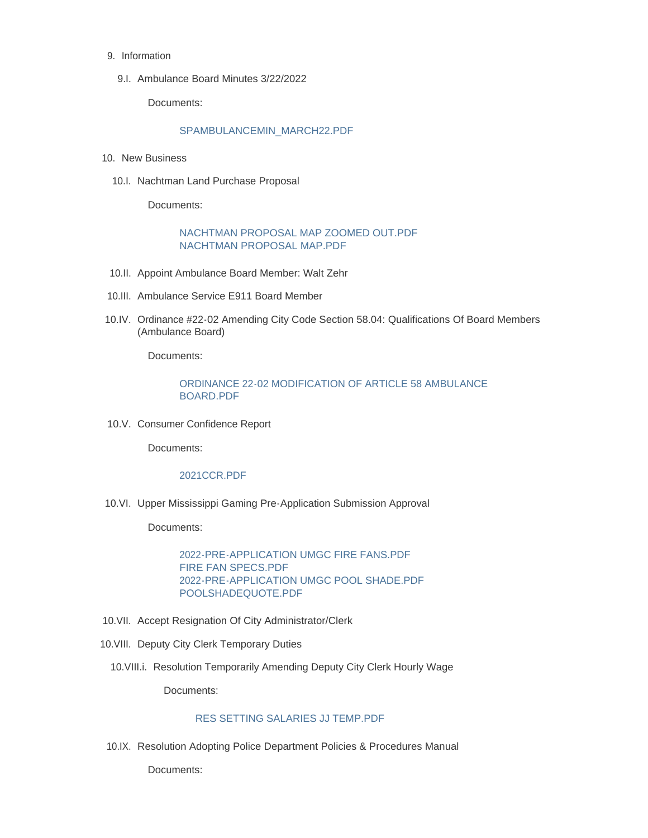- 9. Information
	- 9.I. Ambulance Board Minutes 3/22/2022

Documents:

### [SPAMBULANCEMIN\\_MARCH22.PDF](http://www.strawberrypt.com/AgendaCenter/ViewFile/Item/658?fileID=546)

- 10. New Business
	- 10.I. Nachtman Land Purchase Proposal

Documents:

### [NACHTMAN PROPOSAL MAP ZOOMED OUT.PDF](http://www.strawberrypt.com/AgendaCenter/ViewFile/Item/638?fileID=536) [NACHTMAN PROPOSAL MAP.PDF](http://www.strawberrypt.com/AgendaCenter/ViewFile/Item/638?fileID=537)

- 10.II. Appoint Ambulance Board Member: Walt Zehr
- 10.III. Ambulance Service E911 Board Member
- 10.IV. Ordinance #22-02 Amending City Code Section 58.04: Qualifications Of Board Members (Ambulance Board)

Documents:

### [ORDINANCE 22-02 MODIFICATION OF ARTICLE 58 AMBULANCE](http://www.strawberrypt.com/AgendaCenter/ViewFile/Item/633?fileID=543)  BOARD.PDF

10.V. Consumer Confidence Report

Documents:

#### [2021CCR.PDF](http://www.strawberrypt.com/AgendaCenter/ViewFile/Item/654?fileID=551)

10.VI. Upper Mississippi Gaming Pre-Application Submission Approval

Documents:

[2022-PRE-APPLICATION UMGC FIRE FANS.PDF](http://www.strawberrypt.com/AgendaCenter/ViewFile/Item/636?fileID=547) [FIRE FAN SPECS.PDF](http://www.strawberrypt.com/AgendaCenter/ViewFile/Item/636?fileID=548) [2022-PRE-APPLICATION UMGC POOL SHADE.PDF](http://www.strawberrypt.com/AgendaCenter/ViewFile/Item/636?fileID=549) [POOLSHADEQUOTE.PDF](http://www.strawberrypt.com/AgendaCenter/ViewFile/Item/636?fileID=550)

- 10. VII. Accept Resignation Of City Administrator/Clerk
- 10. VIII. Deputy City Clerk Temporary Duties
	- 10. VIII.i. Resolution Temporarily Amending Deputy City Clerk Hourly Wage

Documents:

### [RES SETTING SALARIES JJ TEMP.PDF](http://www.strawberrypt.com/AgendaCenter/ViewFile/Item/656?fileID=552)

10.IX. Resolution Adopting Police Department Policies & Procedures Manual

Documents: